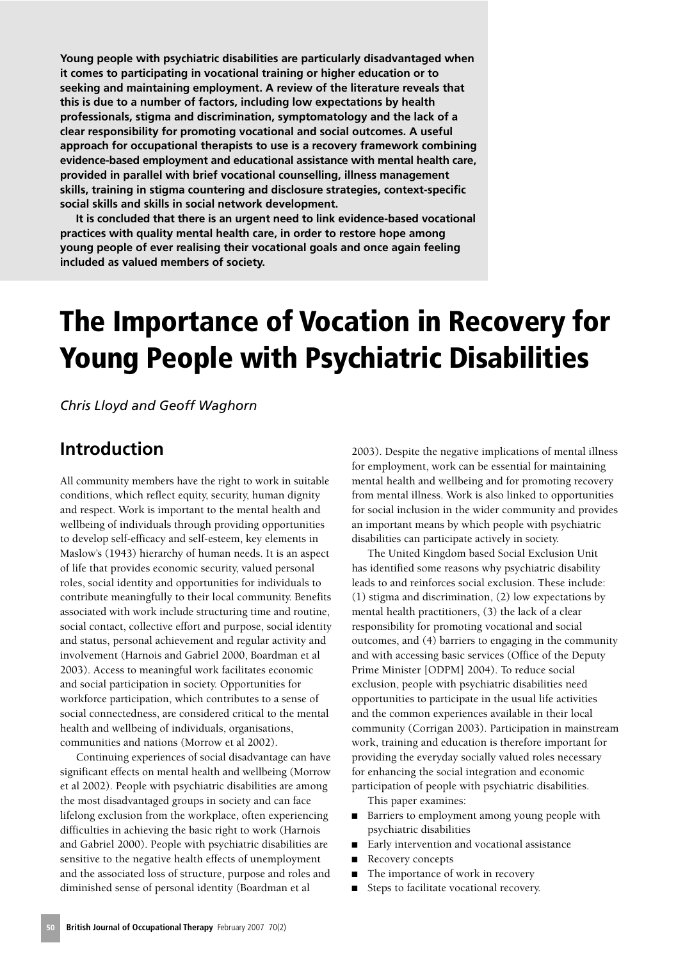Young people with psychiatric disabilities are particularly disadvantaged when it comes to participating in vocational training or higher education or to seeking and maintaining employment. A review of the literature reveals that this is due to a number of factors, including low expectations by health professionals, stigma and discrimination, symptomatology and the lack of a clear responsibility for promoting vocational and social outcomes. A useful approach for occupational therapists to use is a recovery framework combining evidence-based employment and educational assistance with mental health care, provided in parallel with brief vocational counselling, illness management skills, training in stigma countering and disclosure strategies, context-specific social skills and skills in social network development.

It is concluded that there is an urgent need to link evidence-based vocational practices with quality mental health care, in order to restore hope among young people of ever realising their vocational goals and once again feeling included as valued members of society.

# The Importance of Vocation in Recovery for **Young People with Psychiatric Disabilities**

**Chris Lloyd and Geoff Waghorn** 

# Introduction

All community members have the right to work in suitable conditions, which reflect equity, security, human dignity and respect. Work is important to the mental health and wellbeing of individuals through providing opportunities to develop self-efficacy and self-esteem, key elements in Maslow's (1943) hierarchy of human needs. It is an aspect of life that provides economic security, valued personal roles, social identity and opportunities for individuals to contribute meaningfully to their local community. Benefits associated with work include structuring time and routine, social contact, collective effort and purpose, social identity and status, personal achievement and regular activity and involvement (Harnois and Gabriel 2000, Boardman et al 2003). Access to meaningful work facilitates economic and social participation in society. Opportunities for workforce participation, which contributes to a sense of social connectedness, are considered critical to the mental health and wellbeing of individuals, organisations, communities and nations (Morrow et al 2002).

Continuing experiences of social disadvantage can have significant effects on mental health and wellbeing (Morrow et al 2002). People with psychiatric disabilities are among the most disadvantaged groups in society and can face lifelong exclusion from the workplace, often experiencing difficulties in achieving the basic right to work (Harnois and Gabriel 2000). People with psychiatric disabilities are sensitive to the negative health effects of unemployment and the associated loss of structure, purpose and roles and diminished sense of personal identity (Boardman et al

2003). Despite the negative implications of mental illness for employment, work can be essential for maintaining mental health and wellbeing and for promoting recovery from mental illness. Work is also linked to opportunities for social inclusion in the wider community and provides an important means by which people with psychiatric disabilities can participate actively in society.

The United Kingdom based Social Exclusion Unit has identified some reasons why psychiatric disability leads to and reinforces social exclusion. These include: (1) stigma and discrimination, (2) low expectations by mental health practitioners, (3) the lack of a clear responsibility for promoting vocational and social outcomes, and (4) barriers to engaging in the community and with accessing basic services (Office of the Deputy Prime Minister [ODPM] 2004). To reduce social exclusion, people with psychiatric disabilities need opportunities to participate in the usual life activities and the common experiences available in their local community (Corrigan 2003). Participation in mainstream work, training and education is therefore important for providing the everyday socially valued roles necessary for enhancing the social integration and economic participation of people with psychiatric disabilities.

This paper examines:

- Barriers to employment among young people with  $\blacksquare$ psychiatric disabilities
- Early intervention and vocational assistance
- Recovery concepts
- The importance of work in recovery
- Steps to facilitate vocational recovery.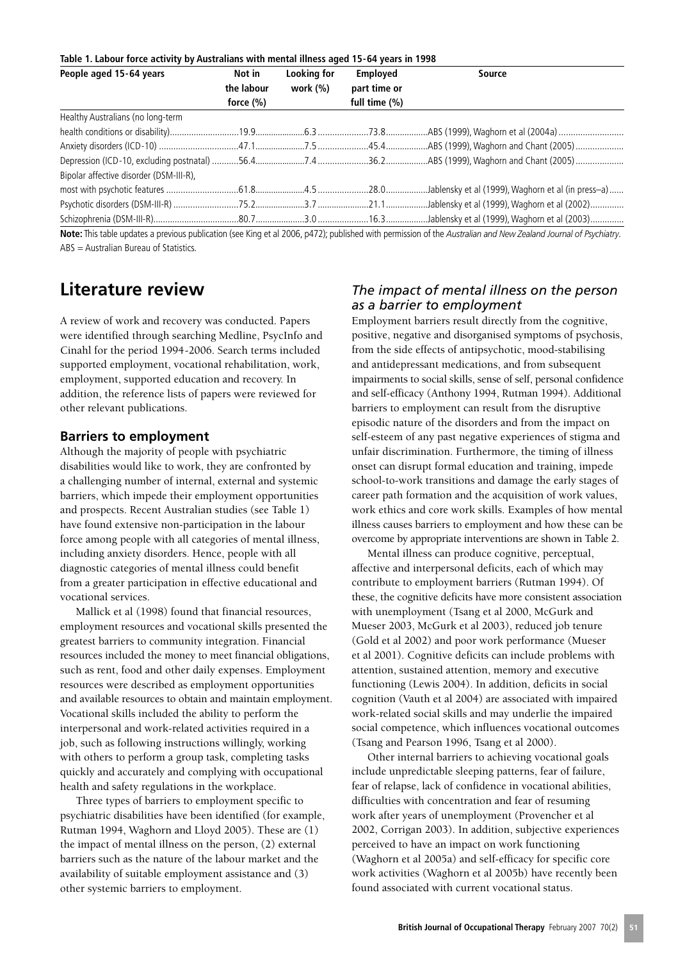| People aged 15-64 years                 | Not in       | Looking for | Employed         | Source |  |
|-----------------------------------------|--------------|-------------|------------------|--------|--|
|                                         | the labour   | work $(\%)$ | part time or     |        |  |
|                                         | force $(\%)$ |             | full time $(\%)$ |        |  |
| Healthy Australians (no long-term       |              |             |                  |        |  |
|                                         |              |             |                  |        |  |
|                                         |              |             |                  |        |  |
|                                         |              |             |                  |        |  |
| Bipolar affective disorder (DSM-III-R), |              |             |                  |        |  |
|                                         |              |             |                  |        |  |
|                                         |              |             |                  |        |  |
|                                         |              |             |                  |        |  |

Note: This table updates a previous publication (see King et al 2006, p472); published with permission of the Australian and New Zealand Journal of Psychiatry.  $ABS =$  Australian Bureau of Statistics.

# Literature review

A review of work and recovery was conducted. Papers were identified through searching Medline, PsycInfo and Cinahl for the period 1994-2006. Search terms included supported employment, vocational rehabilitation, work, employment, supported education and recovery. In addition, the reference lists of papers were reviewed for other relevant publications.

## **Barriers to employment**

Although the majority of people with psychiatric disabilities would like to work, they are confronted by a challenging number of internal, external and systemic barriers, which impede their employment opportunities and prospects. Recent Australian studies (see Table 1) have found extensive non-participation in the labour force among people with all categories of mental illness, including anxiety disorders. Hence, people with all diagnostic categories of mental illness could benefit from a greater participation in effective educational and vocational services.

Mallick et al (1998) found that financial resources, employment resources and vocational skills presented the greatest barriers to community integration. Financial resources included the money to meet financial obligations, such as rent, food and other daily expenses. Employment resources were described as employment opportunities and available resources to obtain and maintain employment. Vocational skills included the ability to perform the interpersonal and work-related activities required in a job, such as following instructions willingly, working with others to perform a group task, completing tasks quickly and accurately and complying with occupational health and safety regulations in the workplace.

Three types of barriers to employment specific to psychiatric disabilities have been identified (for example, Rutman 1994, Waghorn and Lloyd 2005). These are (1) the impact of mental illness on the person, (2) external barriers such as the nature of the labour market and the availability of suitable employment assistance and (3) other systemic barriers to employment.

# The impact of mental illness on the person as a barrier to employment

Employment barriers result directly from the cognitive, positive, negative and disorganised symptoms of psychosis, from the side effects of antipsychotic, mood-stabilising and antidepressant medications, and from subsequent impairments to social skills, sense of self, personal confidence and self-efficacy (Anthony 1994, Rutman 1994). Additional barriers to employment can result from the disruptive episodic nature of the disorders and from the impact on self-esteem of any past negative experiences of stigma and unfair discrimination. Furthermore, the timing of illness onset can disrupt formal education and training, impede school-to-work transitions and damage the early stages of career path formation and the acquisition of work values, work ethics and core work skills. Examples of how mental illness causes barriers to employment and how these can be overcome by appropriate interventions are shown in Table 2.

Mental illness can produce cognitive, perceptual, affective and interpersonal deficits, each of which may contribute to employment barriers (Rutman 1994). Of these, the cognitive deficits have more consistent association with unemployment (Tsang et al 2000, McGurk and Mueser 2003, McGurk et al 2003), reduced job tenure (Gold et al 2002) and poor work performance (Mueser et al 2001). Cognitive deficits can include problems with attention, sustained attention, memory and executive functioning (Lewis 2004). In addition, deficits in social cognition (Vauth et al 2004) are associated with impaired work-related social skills and may underlie the impaired social competence, which influences vocational outcomes (Tsang and Pearson 1996, Tsang et al 2000).

Other internal barriers to achieving vocational goals include unpredictable sleeping patterns, fear of failure, fear of relapse, lack of confidence in vocational abilities, difficulties with concentration and fear of resuming work after years of unemployment (Provencher et al 2002, Corrigan 2003). In addition, subjective experiences perceived to have an impact on work functioning (Waghorn et al 2005a) and self-efficacy for specific core work activities (Waghorn et al 2005b) have recently been found associated with current vocational status.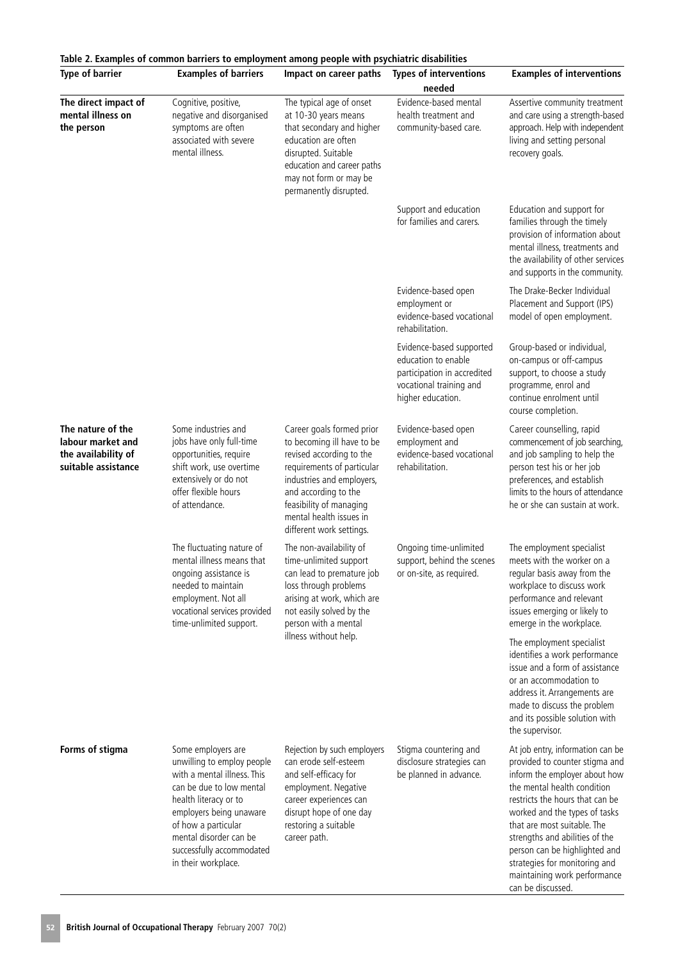|                                                                                      | iable 2. Examples of common barriers to employment among people with psychiatric alsabilities                                                                                                                                                                        |                                                                                                                                                                                                                                                          |                                                                                                                                |                                                                                                                                                                                                                                                                                                                                                                                                |
|--------------------------------------------------------------------------------------|----------------------------------------------------------------------------------------------------------------------------------------------------------------------------------------------------------------------------------------------------------------------|----------------------------------------------------------------------------------------------------------------------------------------------------------------------------------------------------------------------------------------------------------|--------------------------------------------------------------------------------------------------------------------------------|------------------------------------------------------------------------------------------------------------------------------------------------------------------------------------------------------------------------------------------------------------------------------------------------------------------------------------------------------------------------------------------------|
| <b>Type of barrier</b>                                                               | <b>Examples of barriers</b>                                                                                                                                                                                                                                          | Impact on career paths                                                                                                                                                                                                                                   | <b>Types of interventions</b>                                                                                                  | <b>Examples of interventions</b>                                                                                                                                                                                                                                                                                                                                                               |
|                                                                                      |                                                                                                                                                                                                                                                                      |                                                                                                                                                                                                                                                          | needed                                                                                                                         |                                                                                                                                                                                                                                                                                                                                                                                                |
| The direct impact of<br>mental illness on<br>the person                              | Cognitive, positive,<br>negative and disorganised<br>symptoms are often<br>associated with severe<br>mental illness.                                                                                                                                                 | The typical age of onset<br>at 10-30 years means<br>that secondary and higher<br>education are often<br>disrupted. Suitable<br>education and career paths<br>may not form or may be<br>permanently disrupted.                                            | Evidence-based mental<br>health treatment and<br>community-based care.                                                         | Assertive community treatment<br>and care using a strength-based<br>approach. Help with independent<br>living and setting personal<br>recovery goals.                                                                                                                                                                                                                                          |
|                                                                                      |                                                                                                                                                                                                                                                                      |                                                                                                                                                                                                                                                          | Support and education<br>for families and carers.                                                                              | Education and support for<br>families through the timely<br>provision of information about<br>mental illness, treatments and<br>the availability of other services<br>and supports in the community.                                                                                                                                                                                           |
|                                                                                      |                                                                                                                                                                                                                                                                      |                                                                                                                                                                                                                                                          | Evidence-based open<br>employment or<br>evidence-based vocational<br>rehabilitation.                                           | The Drake-Becker Individual<br>Placement and Support (IPS)<br>model of open employment.                                                                                                                                                                                                                                                                                                        |
|                                                                                      |                                                                                                                                                                                                                                                                      |                                                                                                                                                                                                                                                          | Evidence-based supported<br>education to enable<br>participation in accredited<br>vocational training and<br>higher education. | Group-based or individual,<br>on-campus or off-campus<br>support, to choose a study<br>programme, enrol and<br>continue enrolment until<br>course completion.                                                                                                                                                                                                                                  |
| The nature of the<br>labour market and<br>the availability of<br>suitable assistance | Some industries and<br>jobs have only full-time<br>opportunities, require<br>shift work, use overtime<br>extensively or do not<br>offer flexible hours<br>of attendance.                                                                                             | Career goals formed prior<br>to becoming ill have to be<br>revised according to the<br>requirements of particular<br>industries and employers,<br>and according to the<br>feasibility of managing<br>mental health issues in<br>different work settings. | Evidence-based open<br>employment and<br>evidence-based vocational<br>rehabilitation.                                          | Career counselling, rapid<br>commencement of job searching,<br>and job sampling to help the<br>person test his or her job<br>preferences, and establish<br>limits to the hours of attendance<br>he or she can sustain at work.                                                                                                                                                                 |
|                                                                                      | The fluctuating nature of<br>mental illness means that<br>ongoing assistance is<br>needed to maintain<br>employment. Not all<br>vocational services provided<br>time-unlimited support.                                                                              | The non-availability of<br>time-unlimited support<br>can lead to premature job<br>loss through problems<br>arising at work, which are<br>not easily solved by the<br>person with a mental                                                                | Ongoing time-unlimited<br>support, behind the scenes<br>or on-site, as required.                                               | The employment specialist<br>meets with the worker on a<br>regular basis away from the<br>workplace to discuss work<br>performance and relevant<br>issues emerging or likely to<br>emerge in the workplace.                                                                                                                                                                                    |
|                                                                                      |                                                                                                                                                                                                                                                                      | illness without help.                                                                                                                                                                                                                                    |                                                                                                                                | The employment specialist<br>identifies a work performance<br>issue and a form of assistance<br>or an accommodation to<br>address it. Arrangements are<br>made to discuss the problem<br>and its possible solution with<br>the supervisor.                                                                                                                                                     |
| Forms of stigma                                                                      | Some employers are<br>unwilling to employ people<br>with a mental illness. This<br>can be due to low mental<br>health literacy or to<br>employers being unaware<br>of how a particular<br>mental disorder can be<br>successfully accommodated<br>in their workplace. | Rejection by such employers<br>can erode self-esteem<br>and self-efficacy for<br>employment. Negative<br>career experiences can<br>disrupt hope of one day<br>restoring a suitable<br>career path.                                                       | Stigma countering and<br>disclosure strategies can<br>be planned in advance.                                                   | At job entry, information can be<br>provided to counter stigma and<br>inform the employer about how<br>the mental health condition<br>restricts the hours that can be<br>worked and the types of tasks<br>that are most suitable. The<br>strengths and abilities of the<br>person can be highlighted and<br>strategies for monitoring and<br>maintaining work performance<br>can be discussed. |

# Table 2. Examples of common barriers to employment among people with psychiatric disabilities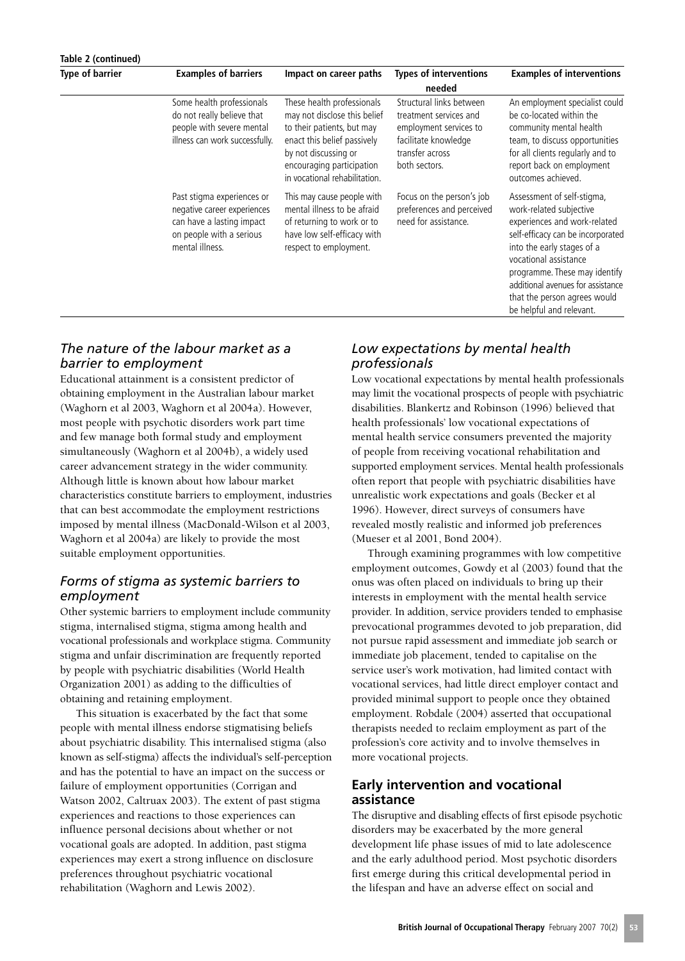| <b>Type of barrier</b> | <b>Examples of barriers</b>                                                                                                           | Impact on career paths                                                                                                                                                                                        | <b>Types of interventions</b>                                                                                                            | <b>Examples of interventions</b>                                                                                                                                                                                                                                                                                    |  |  |
|------------------------|---------------------------------------------------------------------------------------------------------------------------------------|---------------------------------------------------------------------------------------------------------------------------------------------------------------------------------------------------------------|------------------------------------------------------------------------------------------------------------------------------------------|---------------------------------------------------------------------------------------------------------------------------------------------------------------------------------------------------------------------------------------------------------------------------------------------------------------------|--|--|
|                        | needed                                                                                                                                |                                                                                                                                                                                                               |                                                                                                                                          |                                                                                                                                                                                                                                                                                                                     |  |  |
|                        | Some health professionals<br>do not really believe that<br>people with severe mental<br>illness can work successfully.                | These health professionals<br>may not disclose this belief<br>to their patients, but may<br>enact this belief passively<br>by not discussing or<br>encouraging participation<br>in vocational rehabilitation. | Structural links between<br>treatment services and<br>employment services to<br>facilitate knowledge<br>transfer across<br>both sectors. | An employment specialist could<br>be co-located within the<br>community mental health<br>team, to discuss opportunities<br>for all clients regularly and to<br>report back on employment<br>outcomes achieved.                                                                                                      |  |  |
|                        | Past stigma experiences or<br>negative career experiences<br>can have a lasting impact<br>on people with a serious<br>mental illness. | This may cause people with<br>mental illness to be afraid<br>of returning to work or to<br>have low self-efficacy with<br>respect to employment.                                                              | Focus on the person's job<br>preferences and perceived<br>need for assistance.                                                           | Assessment of self-stigma,<br>work-related subjective<br>experiences and work-related<br>self-efficacy can be incorporated<br>into the early stages of a<br>vocational assistance<br>programme. These may identify<br>additional avenues for assistance<br>that the person agrees would<br>be helpful and relevant. |  |  |

# The nature of the labour market as a barrier to employment

Educational attainment is a consistent predictor of obtaining employment in the Australian labour market (Waghorn et al 2003, Waghorn et al 2004a). However, most people with psychotic disorders work part time and few manage both formal study and employment simultaneously (Waghorn et al 2004b), a widely used career advancement strategy in the wider community. Although little is known about how labour market characteristics constitute barriers to employment, industries that can best accommodate the employment restrictions imposed by mental illness (MacDonald-Wilson et al 2003, Waghorn et al 2004a) are likely to provide the most suitable employment opportunities.

# Forms of stigma as systemic barriers to employment

Other systemic barriers to employment include community stigma, internalised stigma, stigma among health and vocational professionals and workplace stigma. Community stigma and unfair discrimination are frequently reported by people with psychiatric disabilities (World Health Organization 2001) as adding to the difficulties of obtaining and retaining employment.

This situation is exacerbated by the fact that some people with mental illness endorse stigmatising beliefs about psychiatric disability. This internalised stigma (also known as self-stigma) affects the individual's self-perception and has the potential to have an impact on the success or failure of employment opportunities (Corrigan and Watson 2002, Caltruax 2003). The extent of past stigma experiences and reactions to those experiences can influence personal decisions about whether or not vocational goals are adopted. In addition, past stigma experiences may exert a strong influence on disclosure preferences throughout psychiatric vocational rehabilitation (Waghorn and Lewis 2002).

# Low expectations by mental health professionals

Low vocational expectations by mental health professionals may limit the vocational prospects of people with psychiatric disabilities. Blankertz and Robinson (1996) believed that health professionals' low vocational expectations of mental health service consumers prevented the majority of people from receiving vocational rehabilitation and supported employment services. Mental health professionals often report that people with psychiatric disabilities have unrealistic work expectations and goals (Becker et al 1996). However, direct surveys of consumers have revealed mostly realistic and informed job preferences (Mueser et al 2001, Bond 2004).

Through examining programmes with low competitive employment outcomes, Gowdy et al (2003) found that the onus was often placed on individuals to bring up their interests in employment with the mental health service provider. In addition, service providers tended to emphasise prevocational programmes devoted to job preparation, did not pursue rapid assessment and immediate job search or immediate job placement, tended to capitalise on the service user's work motivation, had limited contact with vocational services, had little direct employer contact and provided minimal support to people once they obtained employment. Robdale (2004) asserted that occupational therapists needed to reclaim employment as part of the profession's core activity and to involve themselves in more vocational projects.

# **Early intervention and vocational** assistance

The disruptive and disabling effects of first episode psychotic disorders may be exacerbated by the more general development life phase issues of mid to late adolescence and the early adulthood period. Most psychotic disorders first emerge during this critical developmental period in the lifespan and have an adverse effect on social and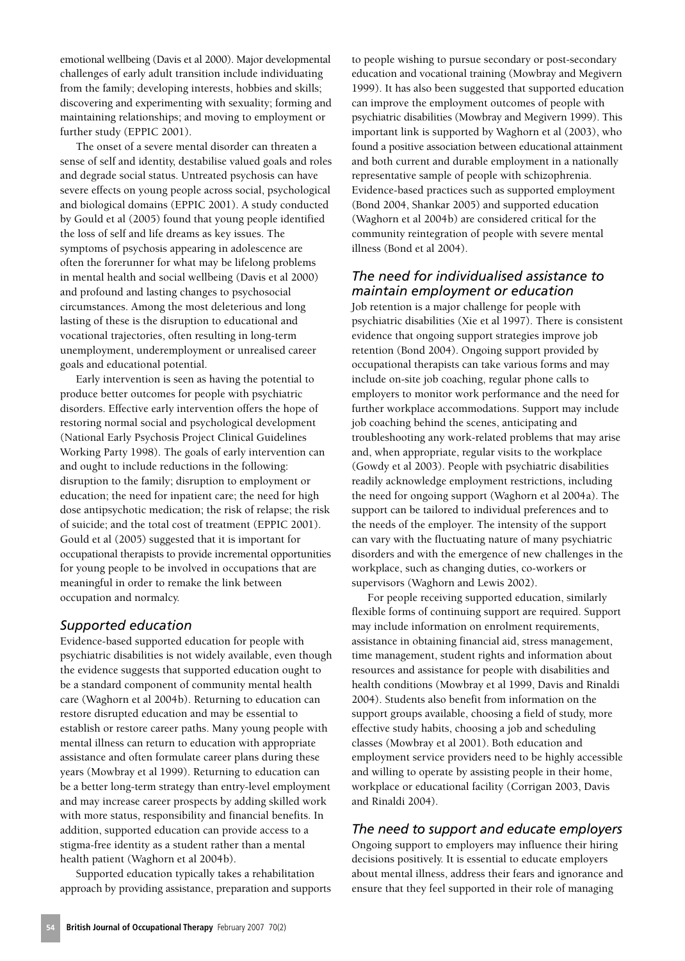emotional wellbeing (Davis et al 2000). Major developmental challenges of early adult transition include individuating from the family; developing interests, hobbies and skills; discovering and experimenting with sexuality; forming and maintaining relationships; and moving to employment or further study (EPPIC 2001).

The onset of a severe mental disorder can threaten a sense of self and identity, destabilise valued goals and roles and degrade social status. Untreated psychosis can have severe effects on young people across social, psychological and biological domains (EPPIC 2001). A study conducted by Gould et al (2005) found that young people identified the loss of self and life dreams as key issues. The symptoms of psychosis appearing in adolescence are often the forerunner for what may be lifelong problems in mental health and social wellbeing (Davis et al 2000) and profound and lasting changes to psychosocial circumstances. Among the most deleterious and long lasting of these is the disruption to educational and vocational trajectories, often resulting in long-term unemployment, underemployment or unrealised career goals and educational potential.

Early intervention is seen as having the potential to produce better outcomes for people with psychiatric disorders. Effective early intervention offers the hope of restoring normal social and psychological development (National Early Psychosis Project Clinical Guidelines Working Party 1998). The goals of early intervention can and ought to include reductions in the following: disruption to the family; disruption to employment or education; the need for inpatient care; the need for high dose antipsychotic medication; the risk of relapse; the risk of suicide; and the total cost of treatment (EPPIC 2001). Gould et al (2005) suggested that it is important for occupational therapists to provide incremental opportunities for young people to be involved in occupations that are meaningful in order to remake the link between occupation and normalcy.

# Supported education

Evidence-based supported education for people with psychiatric disabilities is not widely available, even though the evidence suggests that supported education ought to be a standard component of community mental health care (Waghorn et al 2004b). Returning to education can restore disrupted education and may be essential to establish or restore career paths. Many young people with mental illness can return to education with appropriate assistance and often formulate career plans during these years (Mowbray et al 1999). Returning to education can be a better long-term strategy than entry-level employment and may increase career prospects by adding skilled work with more status, responsibility and financial benefits. In addition, supported education can provide access to a stigma-free identity as a student rather than a mental health patient (Waghorn et al 2004b).

Supported education typically takes a rehabilitation approach by providing assistance, preparation and supports to people wishing to pursue secondary or post-secondary education and vocational training (Mowbray and Megivern 1999). It has also been suggested that supported education can improve the employment outcomes of people with psychiatric disabilities (Mowbray and Megivern 1999). This important link is supported by Waghorn et al (2003), who found a positive association between educational attainment and both current and durable employment in a nationally representative sample of people with schizophrenia. Evidence-based practices such as supported employment (Bond 2004, Shankar 2005) and supported education (Waghorn et al 2004b) are considered critical for the community reintegration of people with severe mental illness (Bond et al 2004).

## The need for individualised assistance to maintain employment or education

Job retention is a major challenge for people with psychiatric disabilities (Xie et al 1997). There is consistent evidence that ongoing support strategies improve job retention (Bond 2004). Ongoing support provided by occupational therapists can take various forms and may include on-site job coaching, regular phone calls to employers to monitor work performance and the need for further workplace accommodations. Support may include job coaching behind the scenes, anticipating and troubleshooting any work-related problems that may arise and, when appropriate, regular visits to the workplace (Gowdy et al 2003). People with psychiatric disabilities readily acknowledge employment restrictions, including the need for ongoing support (Waghorn et al 2004a). The support can be tailored to individual preferences and to the needs of the employer. The intensity of the support can vary with the fluctuating nature of many psychiatric disorders and with the emergence of new challenges in the workplace, such as changing duties, co-workers or supervisors (Waghorn and Lewis 2002).

For people receiving supported education, similarly flexible forms of continuing support are required. Support may include information on enrolment requirements, assistance in obtaining financial aid, stress management, time management, student rights and information about resources and assistance for people with disabilities and health conditions (Mowbray et al 1999, Davis and Rinaldi 2004). Students also benefit from information on the support groups available, choosing a field of study, more effective study habits, choosing a job and scheduling classes (Mowbray et al 2001). Both education and employment service providers need to be highly accessible and willing to operate by assisting people in their home, workplace or educational facility (Corrigan 2003, Davis and Rinaldi 2004).

#### The need to support and educate employers

Ongoing support to employers may influence their hiring decisions positively. It is essential to educate employers about mental illness, address their fears and ignorance and ensure that they feel supported in their role of managing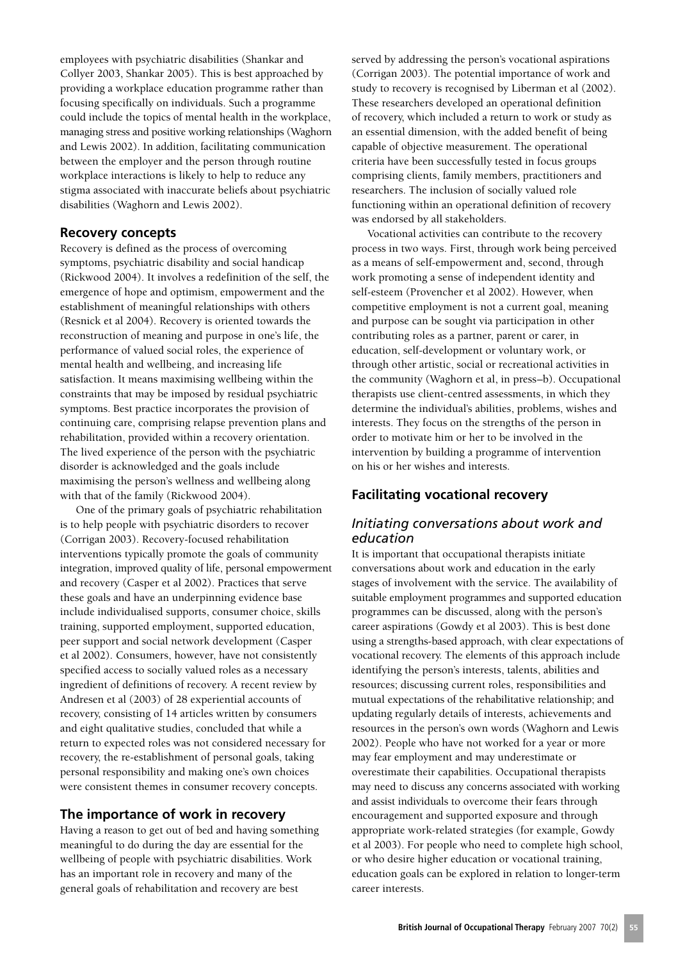employees with psychiatric disabilities (Shankar and Collyer 2003, Shankar 2005). This is best approached by providing a workplace education programme rather than focusing specifically on individuals. Such a programme could include the topics of mental health in the workplace, managing stress and positive working relationships (Waghorn and Lewis 2002). In addition, facilitating communication between the employer and the person through routine workplace interactions is likely to help to reduce any stigma associated with inaccurate beliefs about psychiatric disabilities (Waghorn and Lewis 2002).

#### **Recovery concepts**

Recovery is defined as the process of overcoming symptoms, psychiatric disability and social handicap (Rickwood 2004). It involves a redefinition of the self, the emergence of hope and optimism, empowerment and the establishment of meaningful relationships with others (Resnick et al 2004). Recovery is oriented towards the reconstruction of meaning and purpose in one's life, the performance of valued social roles, the experience of mental health and wellbeing, and increasing life satisfaction. It means maximising wellbeing within the constraints that may be imposed by residual psychiatric symptoms. Best practice incorporates the provision of continuing care, comprising relapse prevention plans and rehabilitation, provided within a recovery orientation. The lived experience of the person with the psychiatric disorder is acknowledged and the goals include maximising the person's wellness and wellbeing along with that of the family (Rickwood 2004).

One of the primary goals of psychiatric rehabilitation is to help people with psychiatric disorders to recover (Corrigan 2003). Recovery-focused rehabilitation interventions typically promote the goals of community integration, improved quality of life, personal empowerment and recovery (Casper et al 2002). Practices that serve these goals and have an underpinning evidence base include individualised supports, consumer choice, skills training, supported employment, supported education, peer support and social network development (Casper et al 2002). Consumers, however, have not consistently specified access to socially valued roles as a necessary ingredient of definitions of recovery. A recent review by Andresen et al (2003) of 28 experiential accounts of recovery, consisting of 14 articles written by consumers and eight qualitative studies, concluded that while a return to expected roles was not considered necessary for recovery, the re-establishment of personal goals, taking personal responsibility and making one's own choices were consistent themes in consumer recovery concepts.

# The importance of work in recovery

Having a reason to get out of bed and having something meaningful to do during the day are essential for the wellbeing of people with psychiatric disabilities. Work has an important role in recovery and many of the general goals of rehabilitation and recovery are best

served by addressing the person's vocational aspirations (Corrigan 2003). The potential importance of work and study to recovery is recognised by Liberman et al (2002). These researchers developed an operational definition of recovery, which included a return to work or study as an essential dimension, with the added benefit of being capable of objective measurement. The operational criteria have been successfully tested in focus groups comprising clients, family members, practitioners and researchers. The inclusion of socially valued role functioning within an operational definition of recovery was endorsed by all stakeholders.

Vocational activities can contribute to the recovery process in two ways. First, through work being perceived as a means of self-empowerment and, second, through work promoting a sense of independent identity and self-esteem (Provencher et al 2002). However, when competitive employment is not a current goal, meaning and purpose can be sought via participation in other contributing roles as a partner, parent or carer, in education, self-development or voluntary work, or through other artistic, social or recreational activities in the community (Waghorn et al, in press-b). Occupational therapists use client-centred assessments, in which they determine the individual's abilities, problems, wishes and interests. They focus on the strengths of the person in order to motivate him or her to be involved in the intervention by building a programme of intervention on his or her wishes and interests.

### **Facilitating vocational recovery**

#### Initiating conversations about work and education

It is important that occupational therapists initiate conversations about work and education in the early stages of involvement with the service. The availability of suitable employment programmes and supported education programmes can be discussed, along with the person's career aspirations (Gowdy et al 2003). This is best done using a strengths-based approach, with clear expectations of vocational recovery. The elements of this approach include identifying the person's interests, talents, abilities and resources; discussing current roles, responsibilities and mutual expectations of the rehabilitative relationship; and updating regularly details of interests, achievements and resources in the person's own words (Waghorn and Lewis 2002). People who have not worked for a year or more may fear employment and may underestimate or overestimate their capabilities. Occupational therapists may need to discuss any concerns associated with working and assist individuals to overcome their fears through encouragement and supported exposure and through appropriate work-related strategies (for example, Gowdy et al 2003). For people who need to complete high school, or who desire higher education or vocational training, education goals can be explored in relation to longer-term career interests.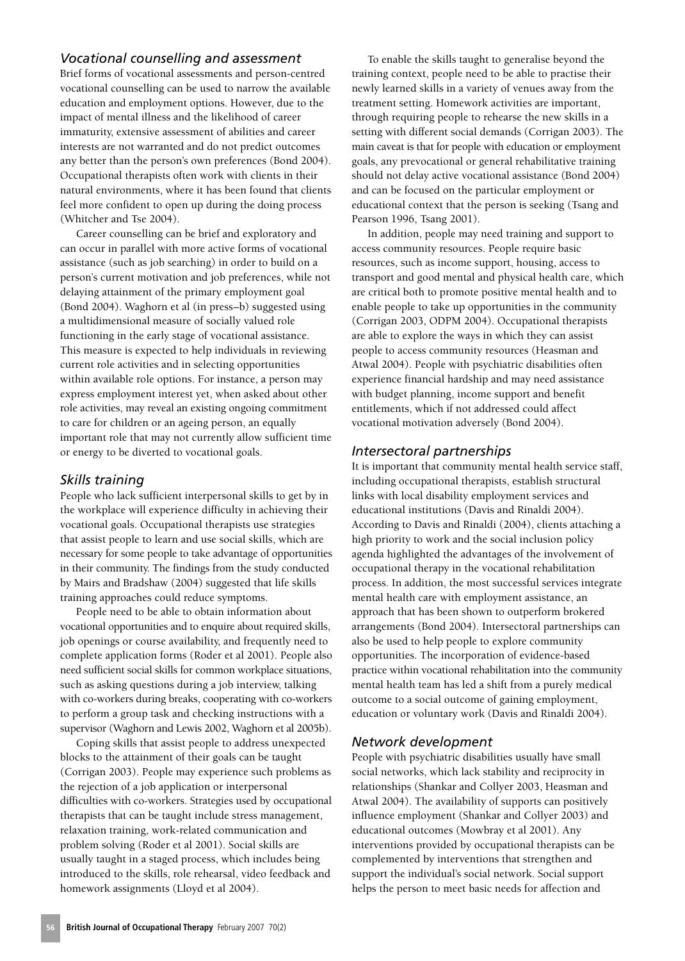#### Vocational counselling and assessment

Brief forms of vocational assessments and person-centred vocational counselling can be used to narrow the available education and employment options. However, due to the impact of mental illness and the likelihood of career immaturity, extensive assessment of abilities and career interests are not warranted and do not predict outcomes any better than the person's own preferences (Bond 2004). Occupational therapists often work with clients in their natural environments, where it has been found that clients feel more confident to open up during the doing process (Whitcher and Tse 2004).

Career counselling can be brief and exploratory and can occur in parallel with more active forms of vocational assistance (such as job searching) in order to build on a person's current motivation and job preferences, while not delaying attainment of the primary employment goal (Bond 2004). Waghorn et al (in press-b) suggested using a multidimensional measure of socially valued role functioning in the early stage of vocational assistance. This measure is expected to help individuals in reviewing current role activities and in selecting opportunities within available role options. For instance, a person may express employment interest yet, when asked about other role activities, may reveal an existing ongoing commitment to care for children or an ageing person, an equally important role that may not currently allow sufficient time or energy to be diverted to vocational goals.

## Skills training

People who lack sufficient interpersonal skills to get by in the workplace will experience difficulty in achieving their vocational goals. Occupational therapists use strategies that assist people to learn and use social skills, which are necessary for some people to take advantage of opportunities in their community. The findings from the study conducted by Mairs and Bradshaw (2004) suggested that life skills training approaches could reduce symptoms.

People need to be able to obtain information about vocational opportunities and to enquire about required skills, job openings or course availability, and frequently need to complete application forms (Roder et al 2001). People also need sufficient social skills for common workplace situations, such as asking questions during a job interview, talking with co-workers during breaks, cooperating with co-workers to perform a group task and checking instructions with a supervisor (Waghorn and Lewis 2002, Waghorn et al 2005b).

Coping skills that assist people to address unexpected blocks to the attainment of their goals can be taught (Corrigan 2003). People may experience such problems as the rejection of a job application or interpersonal difficulties with co-workers. Strategies used by occupational therapists that can be taught include stress management, relaxation training, work-related communication and problem solving (Roder et al 2001). Social skills are usually taught in a staged process, which includes being introduced to the skills, role rehearsal, video feedback and homework assignments (Lloyd et al 2004).

To enable the skills taught to generalise beyond the training context, people need to be able to practise their newly learned skills in a variety of venues away from the treatment setting. Homework activities are important, through requiring people to rehearse the new skills in a setting with different social demands (Corrigan 2003). The main caveat is that for people with education or employment goals, any prevocational or general rehabilitative training should not delay active vocational assistance (Bond 2004) and can be focused on the particular employment or educational context that the person is seeking (Tsang and Pearson 1996, Tsang 2001).

In addition, people may need training and support to access community resources. People require basic resources, such as income support, housing, access to transport and good mental and physical health care, which are critical both to promote positive mental health and to enable people to take up opportunities in the community (Corrigan 2003, ODPM 2004). Occupational therapists are able to explore the ways in which they can assist people to access community resources (Heasman and Atwal 2004). People with psychiatric disabilities often experience financial hardship and may need assistance with budget planning, income support and benefit entitlements, which if not addressed could affect vocational motivation adversely (Bond 2004).

#### Intersectoral partnerships

It is important that community mental health service staff, including occupational therapists, establish structural links with local disability employment services and educational institutions (Davis and Rinaldi 2004). According to Davis and Rinaldi (2004), clients attaching a high priority to work and the social inclusion policy agenda highlighted the advantages of the involvement of occupational therapy in the vocational rehabilitation process. In addition, the most successful services integrate mental health care with employment assistance, an approach that has been shown to outperform brokered arrangements (Bond 2004). Intersectoral partnerships can also be used to help people to explore community opportunities. The incorporation of evidence-based practice within vocational rehabilitation into the community mental health team has led a shift from a purely medical outcome to a social outcome of gaining employment, education or voluntary work (Davis and Rinaldi 2004).

#### Network development

People with psychiatric disabilities usually have small social networks, which lack stability and reciprocity in relationships (Shankar and Collyer 2003, Heasman and Atwal 2004). The availability of supports can positively influence employment (Shankar and Collyer 2003) and educational outcomes (Mowbray et al 2001). Any interventions provided by occupational therapists can be complemented by interventions that strengthen and support the individual's social network. Social support helps the person to meet basic needs for affection and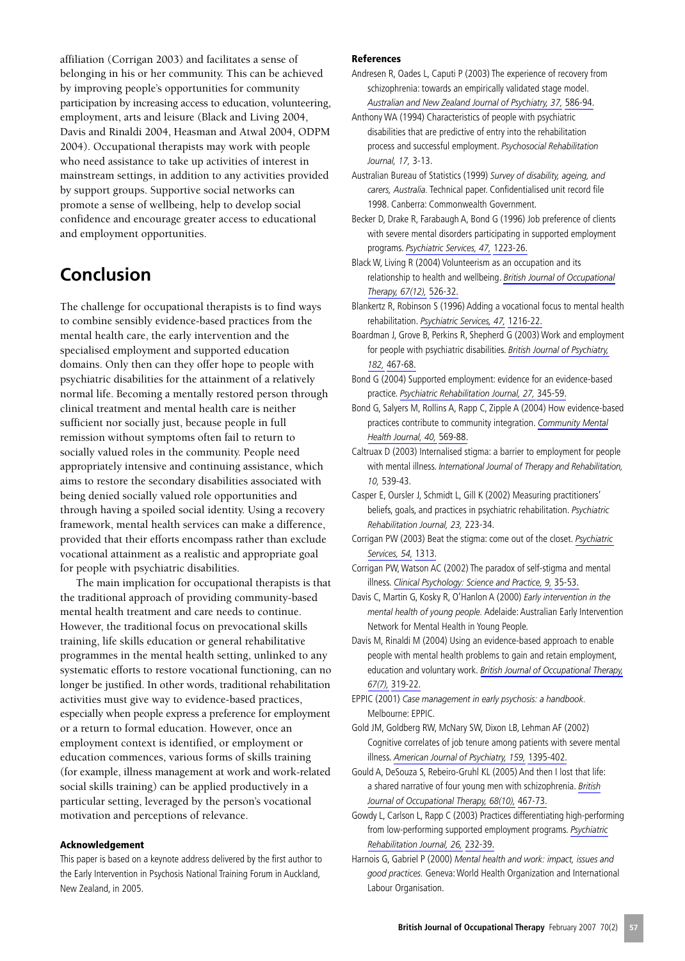affiliation (Corrigan 2003) and facilitates a sense of belonging in his or her community. This can be achieved by improving people's opportunities for community participation by increasing access to education, volunteering, employment, arts and leisure (Black and Living 2004, Davis and Rinaldi 2004, Heasman and Atwal 2004, ODPM 2004). Occupational therapists may work with people who need assistance to take up activities of interest in mainstream settings, in addition to any activities provided by support groups. Supportive social networks can promote a sense of wellbeing, help to develop social confidence and encourage greater access to educational and employment opportunities.

# Conclusion

The challenge for occupational therapists is to find ways to combine sensibly evidence-based practices from the mental health care, the early intervention and the specialised employment and supported education domains. Only then can they offer hope to people with psychiatric disabilities for the attainment of a relatively normal life. Becoming a mentally restored person through clinical treatment and mental health care is neither sufficient nor socially just, because people in full remission without symptoms often fail to return to socially valued roles in the community. People need appropriately intensive and continuing assistance, which aims to restore the secondary disabilities associated with being denied socially valued role opportunities and through having a spoiled social identity. Using a recovery framework, mental health services can make a difference, provided that their efforts encompass rather than exclude vocational attainment as a realistic and appropriate goal for people with psychiatric disabilities.

The main implication for occupational therapists is that the traditional approach of providing community-based mental health treatment and care needs to continue. However, the traditional focus on prevocational skills training, life skills education or general rehabilitative programmes in the mental health setting, unlinked to any systematic efforts to restore vocational functioning, can no longer be justified. In other words, traditional rehabilitation activities must give way to evidence-based practices, especially when people express a preference for employment or a return to formal education. However, once an employment context is identified, or employment or education commences, various forms of skills training (for example, illness management at work and work-related social skills training) can be applied productively in a particular setting, leveraged by the person's vocational motivation and perceptions of relevance.

#### **Acknowledgement**

This paper is based on a keynote address delivered by the first author to the Early Intervention in Psychosis National Training Forum in Auckland, New Zealand, in 2005.

#### References

Andresen R, Oades L, Caputi P (2003) The experience of recovery from schizophrenia: towards an empirically validated stage model. Australian and New Zealand Journal of Psychiatry, 37, 586-94.

Anthony WA (1994) Characteristics of people with psychiatric disabilities that are predictive of entry into the rehabilitation process and successful employment. Psychosocial Rehabilitation Journal, 17, 3-13.

Australian Bureau of Statistics (1999) Survey of disability, ageing, and carers, Australia. Technical paper. Confidentialised unit record file 1998. Canberra: Commonwealth Government.

Becker D, Drake R, Farabaugh A, Bond G (1996) Job preference of clients with severe mental disorders participating in supported employment programs. Psychiatric Services, 47, 1223-26.

Black W, Living R (2004) Volunteerism as an occupation and its relationship to health and wellbeing. British Journal of Occupational Therapy, 67(12), 526-32.

Blankertz R, Robinson S (1996) Adding a vocational focus to mental health rehabilitation. Psychiatric Services, 47, 1216-22.

Boardman J, Grove B, Perkins R, Shepherd G (2003) Work and employment for people with psychiatric disabilities. British Journal of Psychiatry, 182, 467-68.

Bond G (2004) Supported employment: evidence for an evidence-based practice. Psychiatric Rehabilitation Journal, 27, 345-59.

Bond G, Salyers M, Rollins A, Rapp C, Zipple A (2004) How evidence-based practices contribute to community integration. Community Mental Health Journal, 40, 569-88.

Caltruax D (2003) Internalised stigma: a barrier to employment for people with mental illness. International Journal of Therapy and Rehabilitation, 10.539-43.

Casper E, Oursler J, Schmidt L, Gill K (2002) Measuring practitioners' beliefs, goals, and practices in psychiatric rehabilitation. Psychiatric Rehabilitation Journal, 23, 223-34.

Corrigan PW (2003) Beat the stigma: come out of the closet. Psychiatric Services, 54, 1313.

Corrigan PW, Watson AC (2002) The paradox of self-stigma and mental illness. Clinical Psychology: Science and Practice, 9, 35-53.

Davis C, Martin G, Kosky R, O'Hanlon A (2000) Early intervention in the mental health of young people. Adelaide: Australian Early Intervention Network for Mental Health in Young People.

Davis M, Rinaldi M (2004) Using an evidence-based approach to enable people with mental health problems to gain and retain employment, education and voluntary work. British Journal of Occupational Therapy, 67(7) 319-22.

EPPIC (2001) Case management in early psychosis: a handbook. Melbourne: EPPIC.

Gold JM, Goldberg RW, McNary SW, Dixon LB, Lehman AF (2002) Cognitive correlates of job tenure among patients with severe mental illness. American Journal of Psychiatry, 159, 1395-402.

Gould A, DeSouza S, Rebeiro-Gruhl KL (2005) And then I lost that life: a shared narrative of four young men with schizophrenia. British Journal of Occupational Therapy, 68(10), 467-73.

Gowdy L, Carlson L, Rapp C (2003) Practices differentiating high-performing from low-performing supported employment programs. Psychiatric Rehabilitation Journal, 26, 232-39.

Harnois G, Gabriel P (2000) Mental health and work: impact, issues and good practices. Geneva: World Health Organization and International Labour Organisation.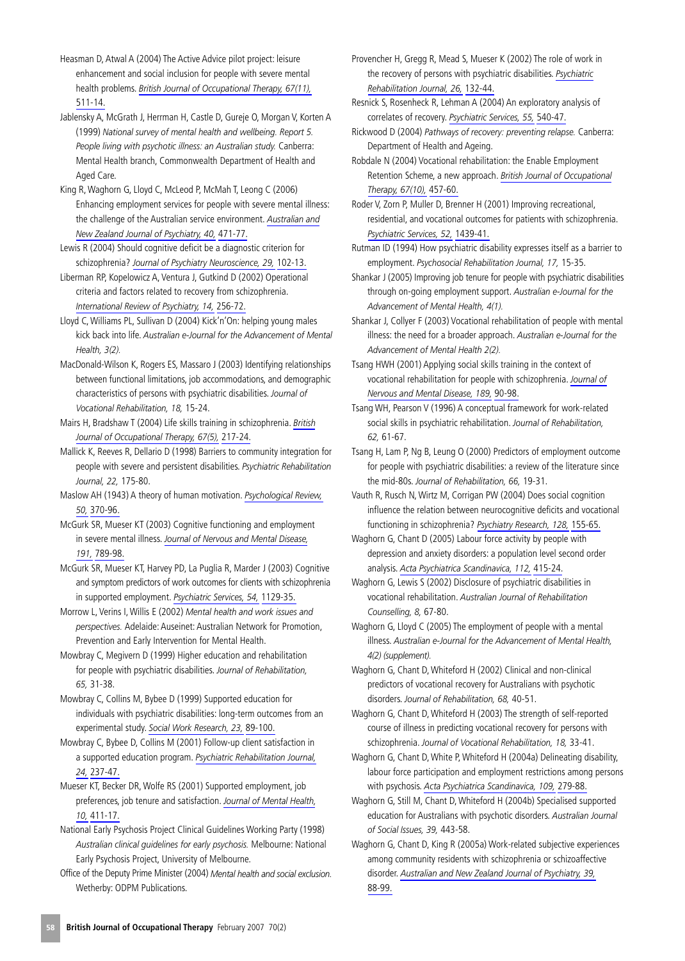Heasman D, Atwal A (2004) The Active Advice pilot project: leisure enhancement and social inclusion for people with severe mental health problems. British Journal of Occupational Therapy, 67(11),  $511 - 14$ 

Jablensky A, McGrath J, Herrman H, Castle D, Gureje O, Morgan V, Korten A (1999) National survey of mental health and wellbeing. Report 5. People living with psychotic illness: an Australian study. Canberra: Mental Health branch, Commonwealth Department of Health and Aged Care.

King R, Waghorn G, Lloyd C, McLeod P, McMah T, Leong C (2006) Enhancing employment services for people with severe mental illness: the challenge of the Australian service environment. Australian and New Zealand Journal of Psychiatry, 40, 471-77.

Lewis R (2004) Should cognitive deficit be a diagnostic criterion for schizophrenia? Journal of Psychiatry Neuroscience, 29, 102-13.

Liberman RP, Kopelowicz A, Ventura J, Gutkind D (2002) Operational criteria and factors related to recovery from schizophrenia. International Review of Psychiatry, 14, 256-72.

Lloyd C, Williams PL, Sullivan D (2004) Kick'n'On: helping young males kick back into life. Australian e-Journal for the Advancement of Mental Health, 3(2).

MacDonald-Wilson K, Rogers ES, Massaro J (2003) Identifying relationships between functional limitations, job accommodations, and demographic characteristics of persons with psychiatric disabilities. Journal of Vocational Rehabilitation, 18, 15-24.

Mairs H, Bradshaw T (2004) Life skills training in schizophrenia. British Journal of Occupational Therapy, 67(5), 217-24.

Mallick K, Reeves R, Dellario D (1998) Barriers to community integration for people with severe and persistent disabilities. Psychiatric Rehabilitation Journal, 22, 175-80.

Maslow AH (1943) A theory of human motivation. Psychological Review, 50, 370-96.

McGurk SR, Mueser KT (2003) Cognitive functioning and employment in severe mental illness. Journal of Nervous and Mental Disease, 191, 789-98

McGurk SR, Mueser KT, Harvey PD, La Puglia R, Marder J (2003) Cognitive and symptom predictors of work outcomes for clients with schizophrenia in supported employment. Psychiatric Services, 54, 1129-35.

Morrow L, Verins I, Willis E (2002) Mental health and work issues and perspectives. Adelaide: Auseinet: Australian Network for Promotion, Prevention and Early Intervention for Mental Health.

Mowbray C, Megivern D (1999) Higher education and rehabilitation for people with psychiatric disabilities. Journal of Rehabilitation, 65, 31-38.

Mowbray C, Collins M, Bybee D (1999) Supported education for individuals with psychiatric disabilities: long-term outcomes from an experimental study. Social Work Research, 23, 89-100.

Mowbray C, Bybee D, Collins M (2001) Follow-up client satisfaction in a supported education program. Psychiatric Rehabilitation Journal, 24, 237-47.

Mueser KT, Becker DR, Wolfe RS (2001) Supported employment, job preferences, job tenure and satisfaction. Journal of Mental Health, 10, 411-17.

National Early Psychosis Project Clinical Guidelines Working Party (1998) Australian clinical quidelines for early psychosis. Melbourne: National Early Psychosis Project, University of Melbourne.

Office of the Deputy Prime Minister (2004) Mental health and social exclusion. Wetherby: ODPM Publications

Provencher H, Gregg R, Mead S, Mueser K (2002) The role of work in the recovery of persons with psychiatric disabilities. Psychiatric Rehabilitation Journal, 26, 132-44.

Resnick S, Rosenheck R, Lehman A (2004) An exploratory analysis of correlates of recovery. Psychiatric Services, 55, 540-47.

Rickwood D (2004) Pathways of recovery: preventing relapse. Canberra: Department of Health and Ageing.

Robdale N (2004) Vocational rehabilitation: the Enable Employment Retention Scheme, a new approach. British Journal of Occupational Therapy, 67(10), 457-60.

Roder V, Zorn P, Muller D, Brenner H (2001) Improving recreational, residential, and vocational outcomes for patients with schizophrenia. Psychiatric Services, 52, 1439-41.

Rutman ID (1994) How psychiatric disability expresses itself as a barrier to employment. Psychosocial Rehabilitation Journal, 17, 15-35.

Shankar J (2005) Improving job tenure for people with psychiatric disabilities through on-going employment support. Australian e-Journal for the Advancement of Mental Health, 4(1).

Shankar J, Collyer F (2003) Vocational rehabilitation of people with mental illness: the need for a broader approach. Australian e-Journal for the Advancement of Mental Health 2(2).

Tsang HWH (2001) Applying social skills training in the context of vocational rehabilitation for people with schizophrenia. Journal of Nervous and Mental Disease, 189, 90-98.

Tsang WH, Pearson V (1996) A conceptual framework for work-related social skills in psychiatric rehabilitation. Journal of Rehabilitation, 62.61-67.

Tsang H, Lam P, Ng B, Leung O (2000) Predictors of employment outcome for people with psychiatric disabilities: a review of the literature since the mid-80s. Journal of Rehabilitation, 66, 19-31.

Vauth R, Rusch N, Wirtz M, Corrigan PW (2004) Does social cognition influence the relation between neurocognitive deficits and vocational functioning in schizophrenia? Psychiatry Research, 128, 155-65.

Waghorn G, Chant D (2005) Labour force activity by people with depression and anxiety disorders: a population level second order analysis. Acta Psychiatrica Scandinavica, 112, 415-24.

Waghorn G, Lewis S (2002) Disclosure of psychiatric disabilities in vocational rehabilitation. Australian Journal of Rehabilitation Counselling, 8, 67-80.

Waghorn G, Lloyd C (2005) The employment of people with a mental illness. Australian e-Journal for the Advancement of Mental Health, 4(2) (supplement).

Waghorn G, Chant D, Whiteford H (2002) Clinical and non-clinical predictors of vocational recovery for Australians with psychotic disorders. Journal of Rehabilitation, 68, 40-51.

Waghorn G, Chant D, Whiteford H (2003) The strength of self-reported course of illness in predicting vocational recovery for persons with schizophrenia. Journal of Vocational Rehabilitation, 18, 33-41.

Waghorn G, Chant D, White P, Whiteford H (2004a) Delineating disability, labour force participation and employment restrictions among persons with psychosis. Acta Psychiatrica Scandinavica, 109, 279-88.

Waghorn G, Still M, Chant D, Whiteford H (2004b) Specialised supported education for Australians with psychotic disorders. Australian Journal of Social Issues, 39, 443-58.

Waghorn G, Chant D, King R (2005a) Work-related subjective experiences among community residents with schizophrenia or schizoaffective disorder. Australian and New Zealand Journal of Psychiatry, 39, 88-99.